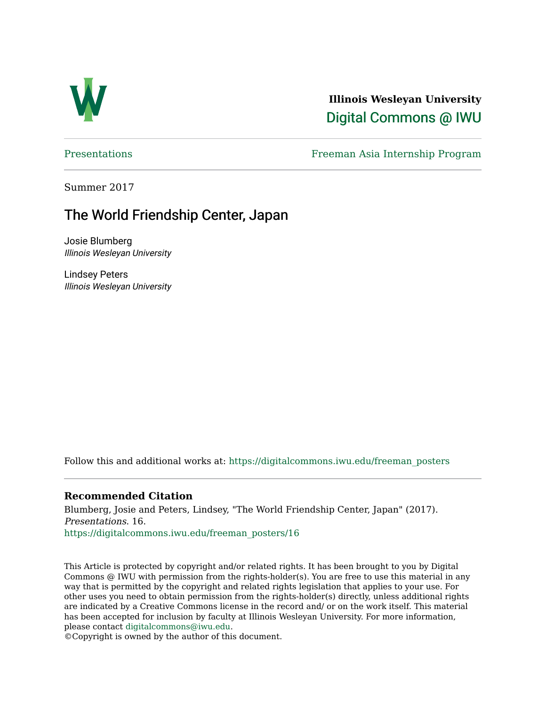

**Illinois Wesleyan University**  [Digital Commons @ IWU](https://digitalcommons.iwu.edu/) 

[Presentations](https://digitalcommons.iwu.edu/freeman_posters) Freeman Asia Internship Program

Summer 2017

#### The World Friendship Center, Japan

Josie Blumberg Illinois Wesleyan University

Lindsey Peters Illinois Wesleyan University

Follow this and additional works at: [https://digitalcommons.iwu.edu/freeman\\_posters](https://digitalcommons.iwu.edu/freeman_posters?utm_source=digitalcommons.iwu.edu%2Ffreeman_posters%2F16&utm_medium=PDF&utm_campaign=PDFCoverPages) 

#### **Recommended Citation**

Blumberg, Josie and Peters, Lindsey, "The World Friendship Center, Japan" (2017). Presentations. 16.

[https://digitalcommons.iwu.edu/freeman\\_posters/16](https://digitalcommons.iwu.edu/freeman_posters/16?utm_source=digitalcommons.iwu.edu%2Ffreeman_posters%2F16&utm_medium=PDF&utm_campaign=PDFCoverPages) 

This Article is protected by copyright and/or related rights. It has been brought to you by Digital Commons @ IWU with permission from the rights-holder(s). You are free to use this material in any way that is permitted by the copyright and related rights legislation that applies to your use. For other uses you need to obtain permission from the rights-holder(s) directly, unless additional rights are indicated by a Creative Commons license in the record and/ or on the work itself. This material has been accepted for inclusion by faculty at Illinois Wesleyan University. For more information, please contact [digitalcommons@iwu.edu.](mailto:digitalcommons@iwu.edu)

©Copyright is owned by the author of this document.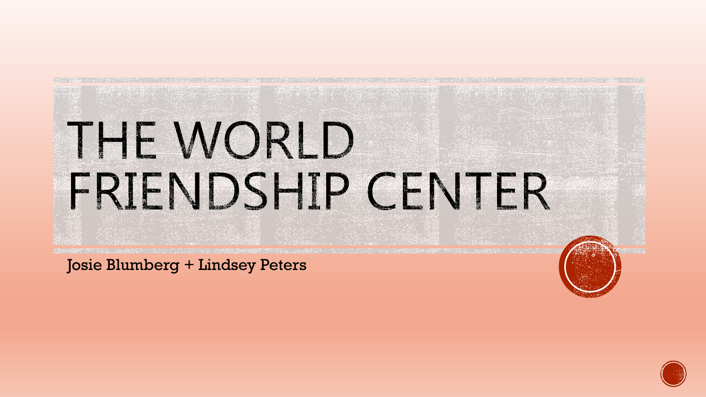# THE WORLD FRIENDSHIP CENTER

Josie Blumberg + Lindsey Peters



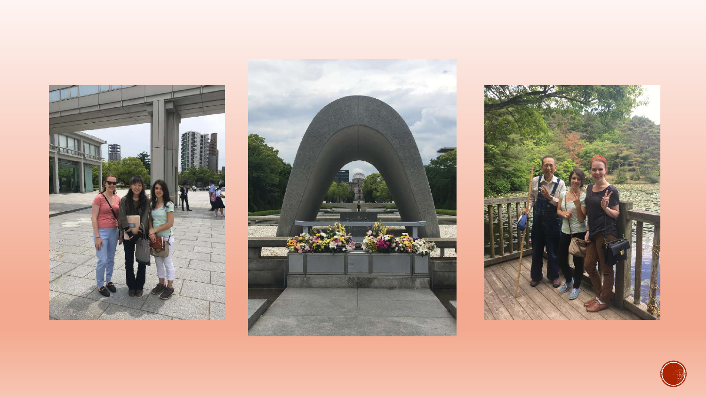





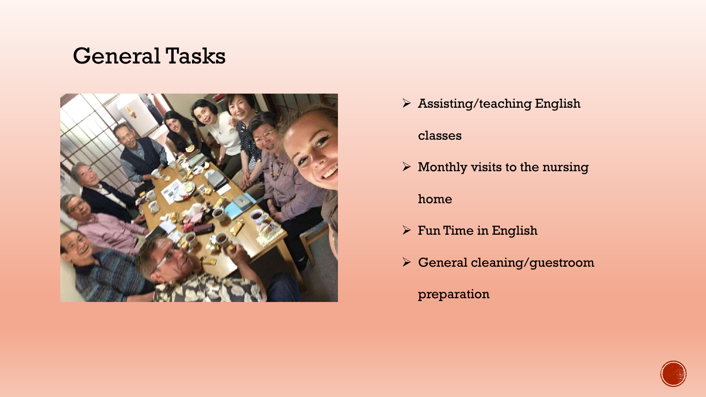### General Tasks



 $\triangleright$  Assisting/teaching English

#### classes

 $\triangleright$  Monthly visits to the nursing

#### home

- $\triangleright$  Fun Time in English
- $\triangleright$  General cleaning/guestroom

preparation

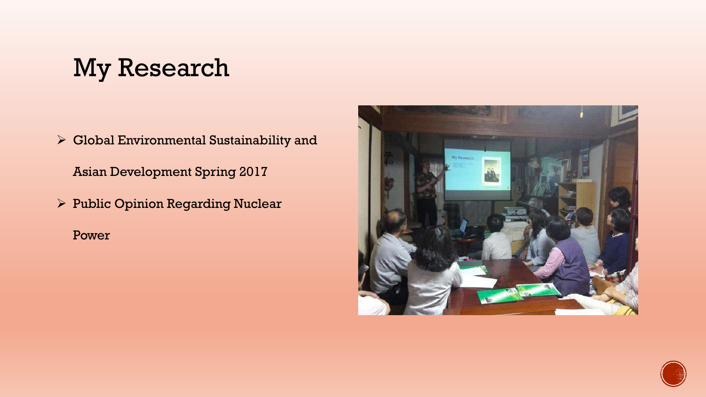## My Research

 Global Environmental Sustainability and Asian Development Spring 2017

 $\triangleright$  Public Opinion Regarding Nuclear

Power



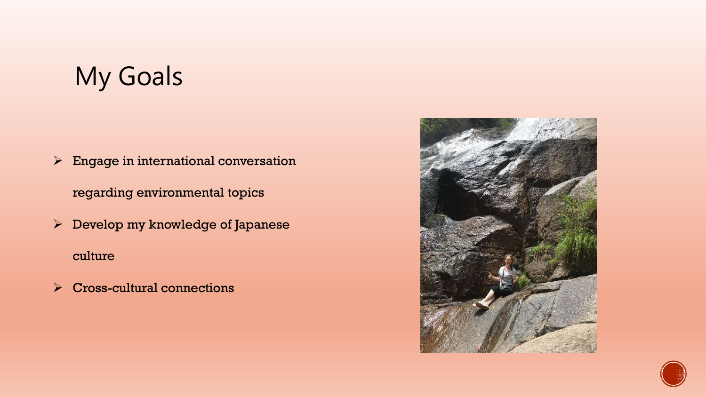## My Goals

- $\triangleright$  Engage in international conversation regarding environmental topics
- $\triangleright$  Develop my knowledge of Japanese culture
- $\triangleright$  Cross-cultural connections